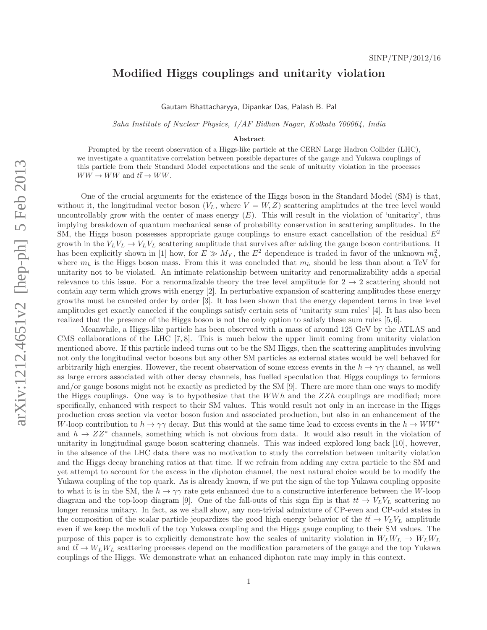## Modified Higgs couplings and unitarity violation

Gautam Bhattacharyya, Dipankar Das, Palash B. Pal

Saha Institute of Nuclear Physics, 1/AF Bidhan Nagar, Kolkata 700064, India

## Abstract

Prompted by the recent observation of a Higgs-like particle at the CERN Large Hadron Collider (LHC), we investigate a quantitative correlation between possible departures of the gauge and Yukawa couplings of this particle from their Standard Model expectations and the scale of unitarity violation in the processes  $WW \to WW$  and  $t\bar{t} \to WW$ .

One of the crucial arguments for the existence of the Higgs boson in the Standard Model (SM) is that, without it, the longitudinal vector boson  $(V_L,$  where  $V = W, Z$  scattering amplitudes at the tree level would uncontrollably grow with the center of mass energy  $(E)$ . This will result in the violation of 'unitarity', thus implying breakdown of quantum mechanical sense of probability conservation in scattering amplitudes. In the SM, the Higgs boson possesses appropriate gauge couplings to ensure exact cancellation of the residual  $E^2$ growth in the  $V_L V_L \rightarrow V_L V_L$  scattering amplitude that survives after adding the gauge boson contributions. It has been explicitly shown in [1] how, for  $E \gg M_V$ , the  $E^2$  dependence is traded in favor of the unknown  $m_h^2$ , where  $m_h$  is the Higgs boson mass. From this it was concluded that  $m_h$  should be less than about a TeV for unitarity not to be violated. An intimate relationship between unitarity and renormalizability adds a special relevance to this issue. For a renormalizable theory the tree level amplitude for  $2 \rightarrow 2$  scattering should not contain any term which grows with energy [2]. In perturbative expansion of scattering amplitudes these energy growths must be canceled order by order [3]. It has been shown that the energy dependent terms in tree level amplitudes get exactly canceled if the couplings satisfy certain sets of 'unitarity sum rules' [4]. It has also been realized that the presence of the Higgs boson is not the only option to satisfy these sum rules [5, 6].

Meanwhile, a Higgs-like particle has been observed with a mass of around 125 GeV by the ATLAS and CMS collaborations of the LHC [7, 8]. This is much below the upper limit coming from unitarity violation mentioned above. If this particle indeed turns out to be the SM Higgs, then the scattering amplitudes involving not only the longitudinal vector bosons but any other SM particles as external states would be well behaved for arbitrarily high energies. However, the recent observation of some excess events in the  $h \to \gamma\gamma$  channel, as well as large errors associated with other decay channels, has fuelled speculation that Higgs couplings to fermions and/or gauge bosons might not be exactly as predicted by the SM [9]. There are more than one ways to modify the Higgs couplings. One way is to hypothesize that the  $WWh$  and the  $ZZh$  couplings are modified; more specifically, enhanced with respect to their SM values. This would result not only in an increase in the Higgs production cross section via vector boson fusion and associated production, but also in an enhancement of the W-loop contribution to  $h \to \gamma\gamma$  decay. But this would at the same time lead to excess events in the  $h \to WW^*$ and  $h \to ZZ^*$  channels, something which is not obvious from data. It would also result in the violation of unitarity in longitudinal gauge boson scattering channels. This was indeed explored long back [10], however, in the absence of the LHC data there was no motivation to study the correlation between unitarity violation and the Higgs decay branching ratios at that time. If we refrain from adding any extra particle to the SM and yet attempt to account for the excess in the diphoton channel, the next natural choice would be to modify the Yukawa coupling of the top quark. As is already known, if we put the sign of the top Yukawa coupling opposite to what it is in the SM, the  $h \to \gamma\gamma$  rate gets enhanced due to a constructive interference between the W-loop diagram and the top-loop diagram [9]. One of the fall-outs of this sign flip is that  $t\bar{t} \to V_L V_L$  scattering no longer remains unitary. In fact, as we shall show, any non-trivial admixture of CP-even and CP-odd states in the composition of the scalar particle jeopardizes the good high energy behavior of the  $t\bar{t} \to V_L V_L$  amplitude even if we keep the moduli of the top Yukawa coupling and the Higgs gauge coupling to their SM values. The purpose of this paper is to explicitly demonstrate how the scales of unitarity violation in  $W_L W_L \to W_L W_L$ and  $t\bar{t} \to W_L W_L$  scattering processes depend on the modification parameters of the gauge and the top Yukawa couplings of the Higgs. We demonstrate what an enhanced diphoton rate may imply in this context.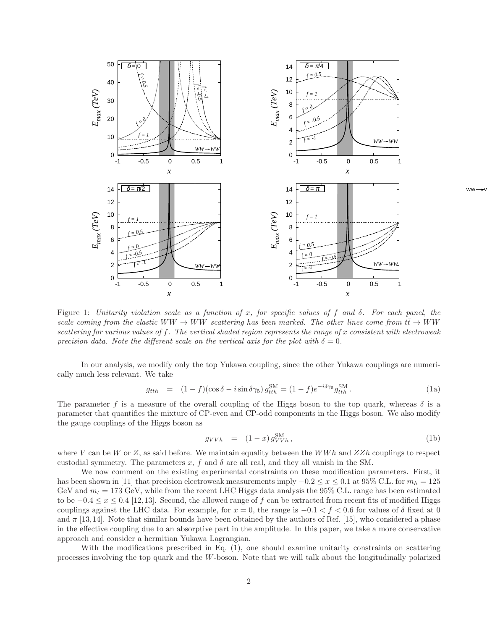

Figure 1: Unitarity violation scale as a function of x, for specific values of f and  $\delta$ . For each panel, the scale coming from the elastic  $WW \to WW$  scattering has been marked. The other lines come from  $t\bar{t} \to WW$ scattering for various values of f. The vertical shaded region represents the range of x consistent with electroweak precision data. Note the different scale on the vertical axis for the plot with  $\delta = 0$ .

In our analysis, we modify only the top Yukawa coupling, since the other Yukawa couplings are numerically much less relevant. We take

$$
g_{tth} = (1 - f)(\cos \delta - i \sin \delta \gamma_5) g_{tth}^{\text{SM}} = (1 - f)e^{-i\delta \gamma_5} g_{tth}^{\text{SM}}.
$$
 (1a)

The parameter f is a measure of the overall coupling of the Higgs boson to the top quark, whereas  $\delta$  is a parameter that quantifies the mixture of CP-even and CP-odd components in the Higgs boson. We also modify the gauge couplings of the Higgs boson as

$$
g_{VVh} = (1-x) g_{VVh}^{\text{SM}}, \qquad (1b)
$$

where V can be W or Z, as said before. We maintain equality between the WWh and  $ZZh$  couplings to respect custodial symmetry. The parameters  $x$ ,  $f$  and  $\delta$  are all real, and they all vanish in the SM.

We now comment on the existing experimental constraints on these modification parameters. First, it has been shown in [11] that precision electroweak measurements imply  $-0.2 \le x \le 0.1$  at 95% C.L. for  $m_h = 125$ GeV and  $m_t = 173$  GeV, while from the recent LHC Higgs data analysis the 95% C.L. range has been estimated to be  $-0.4 \le x \le 0.4$  [12,13]. Second, the allowed range of f can be extracted from recent fits of modified Higgs couplings against the LHC data. For example, for  $x = 0$ , the range is  $-0.1 < f < 0.6$  for values of  $\delta$  fixed at 0 and  $\pi$  [13,14]. Note that similar bounds have been obtained by the authors of Ref. [15], who considered a phase in the effective coupling due to an absorptive part in the amplitude. In this paper, we take a more conservative approach and consider a hermitian Yukawa Lagrangian.

With the modifications prescribed in Eq. (1), one should examine unitarity constraints on scattering processes involving the top quark and the W-boson. Note that we will talk about the longitudinally polarized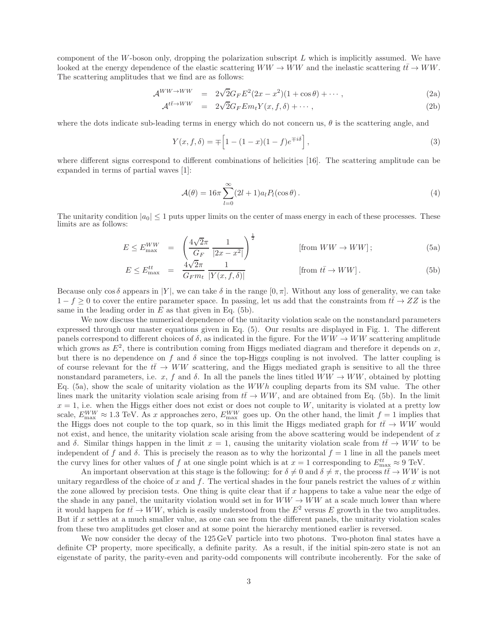component of the W-boson only, dropping the polarization subscript  $L$  which is implicitly assumed. We have looked at the energy dependence of the elastic scattering  $WW \to WW$  and the inelastic scattering  $t\bar{t} \to WW$ . The scattering amplitudes that we find are as follows:

$$
\mathcal{A}^{WW \to WW} = 2\sqrt{2}G_F E^2 (2x - x^2)(1 + \cos \theta) + \cdots, \tag{2a}
$$

$$
\mathcal{A}^{t\bar{t}\to WW} = 2\sqrt{2}G_F E m_t Y(x, f, \delta) + \cdots, \qquad (2b)
$$

where the dots indicate sub-leading terms in energy which do not concern us,  $\theta$  is the scattering angle, and

$$
Y(x, f, \delta) = \mp \left[ 1 - (1 - x)(1 - f)e^{\mp i\delta} \right],
$$
\n(3)

where different signs correspond to different combinations of helicities [16]. The scattering amplitude can be expanded in terms of partial waves [1]:

$$
\mathcal{A}(\theta) = 16\pi \sum_{l=0}^{\infty} (2l+1)a_l P_l(\cos\theta).
$$
 (4)

The unitarity condition  $|a_0| \leq 1$  puts upper limits on the center of mass energy in each of these processes. These limits are as follows:

$$
E \le E_{\text{max}}^{WW} = \left(\frac{4\sqrt{2}\pi}{G_F} \frac{1}{|2x - x^2|}\right)^{\frac{1}{2}} \quad \text{[from } WW \to WW];
$$
 (5a)

$$
E \le E_{\text{max}}^{tt} = \frac{4\sqrt{2}\pi}{G_F m_t} \frac{1}{|Y(x, f, \delta)|} \quad \text{[from } t\bar{t} \to WW]. \tag{5b}
$$

Because only  $\cos \delta$  appears in |Y|, we can take  $\delta$  in the range  $[0, \pi]$ . Without any loss of generality, we can take  $1-f \geq 0$  to cover the entire parameter space. In passing, let us add that the constraints from  $t\bar{t} \to ZZ$  is the same in the leading order in  $E$  as that given in Eq. (5b).

We now discuss the numerical dependence of the unitarity violation scale on the nonstandard parameters expressed through our master equations given in Eq. (5). Our results are displayed in Fig. 1. The different panels correspond to different choices of  $\delta$ , as indicated in the figure. For the  $WW \to WW$  scattering amplitude which grows as  $E^2$ , there is contribution coming from Higgs mediated diagram and therefore it depends on x, but there is no dependence on f and  $\delta$  since the top-Higgs coupling is not involved. The latter coupling is of course relevant for the  $t\bar{t} \rightarrow WW$  scattering, and the Higgs mediated graph is sensitive to all the three nonstandard parameters, i.e. x, f and  $\delta$ . In all the panels the lines titled  $WW \to WW$ , obtained by plotting Eq.  $(5a)$ , show the scale of unitarity violation as the WWh coupling departs from its SM value. The other lines mark the unitarity violation scale arising from  $t\bar{t} \to WW$ , and are obtained from Eq. (5b). In the limit  $x = 1$ , i.e. when the Higgs either does not exist or does not couple to W, unitarity is violated at a pretty low scale,  $E_{\text{max}}^{WW} \approx 1.3 \text{ TeV}$ . As x approaches zero,  $E_{\text{max}}^{WW}$  goes up. On the other hand, the limit  $f = 1$  implies that the Higgs does not couple to the top quark, so in this limit the Higgs mediated graph for  $t\bar{t} \to WW$  would not exist, and hence, the unitarity violation scale arising from the above scattering would be independent of  $x$ and  $\delta$ . Similar things happen in the limit  $x = 1$ , causing the unitarity violation scale from  $t\bar{t} \to WW$  to be independent of f and  $\delta$ . This is precisely the reason as to why the horizontal  $f = 1$  line in all the panels meet the curvy lines for other values of f at one single point which is at  $x = 1$  corresponding to  $E_{\text{max}}^{tt} \approx 9$  TeV.

An important observation at this stage is the following: for  $\delta \neq 0$  and  $\delta \neq \pi$ , the process  $t\bar{t} \to WW$  is not unitary regardless of the choice of  $x$  and  $f$ . The vertical shades in the four panels restrict the values of  $x$  within the zone allowed by precision tests. One thing is quite clear that if x happens to take a value near the edge of the shade in any panel, the unitarity violation would set in for  $WW \to WW$  at a scale much lower than where it would happen for  $t\bar{t}$   $\rightarrow$  WW, which is easily understood from the E<sup>2</sup> versus E growth in the two amplitudes. But if  $x$  settles at a much smaller value, as one can see from the different panels, the unitarity violation scales from these two amplitudes get closer and at some point the hierarchy mentioned earlier is reversed.

We now consider the decay of the  $125 \text{ GeV}$  particle into two photons. Two-photon final states have a definite CP property, more specifically, a definite parity. As a result, if the initial spin-zero state is not an eigenstate of parity, the parity-even and parity-odd components will contribute incoherently. For the sake of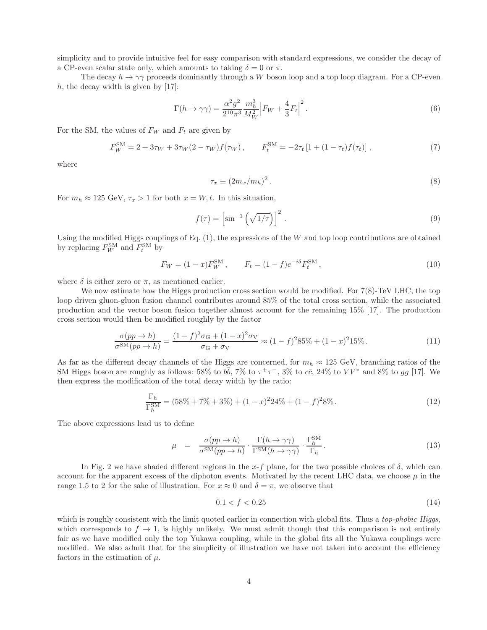simplicity and to provide intuitive feel for easy comparison with standard expressions, we consider the decay of a CP-even scalar state only, which amounts to taking  $\delta = 0$  or  $\pi$ .

The decay  $h \to \gamma\gamma$  proceeds dominantly through a W boson loop and a top loop diagram. For a CP-even  $h$ , the decay width is given by [17]:

$$
\Gamma(h \to \gamma \gamma) = \frac{\alpha^2 g^2}{2^{10} \pi^3} \frac{m_h^3}{M_W^2} \Big| F_W + \frac{4}{3} F_t \Big|^2. \tag{6}
$$

For the SM, the values of  $F_W$  and  $F_t$  are given by

$$
F_W^{\rm SM} = 2 + 3\tau_W + 3\tau_W (2 - \tau_W) f(\tau_W), \qquad F_t^{\rm SM} = -2\tau_t \left[ 1 + (1 - \tau_t) f(\tau_t) \right], \tag{7}
$$

where

$$
\tau_x \equiv (2m_x/m_h)^2. \tag{8}
$$

For  $m_h \approx 125 \text{ GeV}, \tau_x > 1$  for both  $x = W, t$ . In this situation,

$$
f(\tau) = \left[\sin^{-1}\left(\sqrt{1/\tau}\right)\right]^2.
$$
 (9)

Using the modified Higgs couplings of Eq.  $(1)$ , the expressions of the W and top loop contributions are obtained by replacing  $F_W^{\text{SM}}$  and  $F_t^{\text{SM}}$  by

$$
F_W = (1 - x) F_W^{\text{SM}}, \qquad F_t = (1 - f) e^{-i\delta} F_t^{\text{SM}}, \qquad (10)
$$

where  $\delta$  is either zero or  $\pi$ , as mentioned earlier.

We now estimate how the Higgs production cross section would be modified. For  $7(8)$ -TeV LHC, the top loop driven gluon-gluon fusion channel contributes around 85% of the total cross section, while the associated production and the vector boson fusion together almost account for the remaining 15% [17]. The production cross section would then be modified roughly by the factor

$$
\frac{\sigma(pp \to h)}{\sigma^{SM}(pp \to h)} = \frac{(1-f)^2 \sigma_G + (1-x)^2 \sigma_V}{\sigma_G + \sigma_V} \approx (1-f)^2 85\% + (1-x)^2 15\% \,. \tag{11}
$$

As far as the different decay channels of the Higgs are concerned, for  $m_h \approx 125$  GeV, branching ratios of the SM Higgs boson are roughly as follows: 58% to  $b\bar{b}$ , 7% to  $\tau^+\tau^-$ , 3% to  $c\bar{c}$ , 24% to  $VV^*$  and 8% to gg [17]. We then express the modification of the total decay width by the ratio:

$$
\frac{\Gamma_h}{\Gamma_h^{\rm SM}} = (58\% + 7\% + 3\%) + (1 - x)^2 24\% + (1 - f)^2 8\% \,. \tag{12}
$$

The above expressions lead us to define

$$
\mu = \frac{\sigma(pp \to h)}{\sigma^{SM}(pp \to h)} \cdot \frac{\Gamma(h \to \gamma\gamma)}{\Gamma^{SM}(h \to \gamma\gamma)} \cdot \frac{\Gamma_h^{SM}}{\Gamma_h}.
$$
\n(13)

In Fig. 2 we have shaded different regions in the x-f plane, for the two possible choices of  $\delta$ , which can account for the apparent excess of the diphoton events. Motivated by the recent LHC data, we choose  $\mu$  in the range 1.5 to 2 for the sake of illustration. For  $x \approx 0$  and  $\delta = \pi$ , we observe that

$$
0.1 < f < 0.25 \tag{14}
$$

which is roughly consistent with the limit quoted earlier in connection with global fits. Thus a *top-phobic Higgs*, which corresponds to  $f \to 1$ , is highly unlikely. We must admit though that this comparison is not entirely fair as we have modified only the top Yukawa coupling, while in the global fits all the Yukawa couplings were modified. We also admit that for the simplicity of illustration we have not taken into account the efficiency factors in the estimation of  $\mu$ .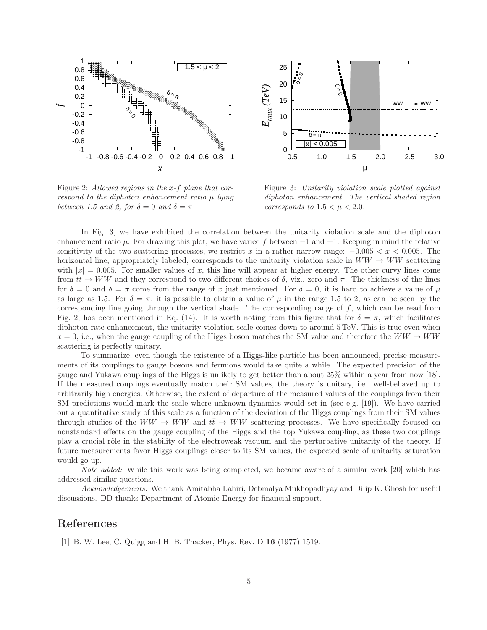

Figure 2: Allowed regions in the x-f plane that correspond to the diphoton enhancement ratio  $\mu$  lying between 1.5 and 2, for  $\delta = 0$  and  $\delta = \pi$ .



Figure 3: Unitarity violation scale plotted against diphoton enhancement. The vertical shaded region corresponds to  $1.5 < \mu < 2.0$ .

In Fig. 3, we have exhibited the correlation between the unitarity violation scale and the diphoton enhancement ratio  $\mu$ . For drawing this plot, we have varied f between  $-1$  and  $+1$ . Keeping in mind the relative sensitivity of the two scattering processes, we restrict x in a rather narrow range:  $-0.005 < x < 0.005$ . The horizontal line, appropriately labeled, corresponds to the unitarity violation scale in  $WW \rightarrow WW$  scattering with  $|x| = 0.005$ . For smaller values of x, this line will appear at higher energy. The other curvy lines come from  $t\bar{t} \to WW$  and they correspond to two different choices of  $\delta$ , viz., zero and  $\pi$ . The thickness of the lines for  $\delta = 0$  and  $\delta = \pi$  come from the range of x just mentioned. For  $\delta = 0$ , it is hard to achieve a value of  $\mu$ as large as 1.5. For  $\delta = \pi$ , it is possible to obtain a value of  $\mu$  in the range 1.5 to 2, as can be seen by the corresponding line going through the vertical shade. The corresponding range of f, which can be read from Fig. 2, has been mentioned in Eq. (14). It is worth noting from this figure that for  $\delta = \pi$ , which facilitates diphoton rate enhancement, the unitarity violation scale comes down to around  $5 \text{ TeV}$ . This is true even when  $x = 0$ , i.e., when the gauge coupling of the Higgs boson matches the SM value and therefore the  $WW \rightarrow WW$ scattering is perfectly unitary.

To summarize, even though the existence of a Higgs-like particle has been announced, precise measurements of its couplings to gauge bosons and fermions would take quite a while. The expected precision of the gauge and Yukawa couplings of the Higgs is unlikely to get better than about 25% within a year from now [18]. If the measured couplings eventually match their SM values, the theory is unitary, i.e. well-behaved up to arbitrarily high energies. Otherwise, the extent of departure of the measured values of the couplings from their SM predictions would mark the scale where unknown dynamics would set in (see e.g. [19]). We have carried out a quantitative study of this scale as a function of the deviation of the Higgs couplings from their SM values through studies of the  $WW \rightarrow WW$  and  $t\bar{t} \rightarrow WW$  scattering processes. We have specifically focused on nonstandard effects on the gauge coupling of the Higgs and the top Yukawa coupling, as these two couplings play a crucial rˆole in the stability of the electroweak vacuum and the perturbative unitarity of the theory. If future measurements favor Higgs couplings closer to its SM values, the expected scale of unitarity saturation would go up.

Note added: While this work was being completed, we became aware of a similar work [20] which has addressed similar questions.

Acknowledgements: We thank Amitabha Lahiri, Debmalya Mukhopadhyay and Dilip K. Ghosh for useful discussions. DD thanks Department of Atomic Energy for financial support.

## References

[1] B. W. Lee, C. Quigg and H. B. Thacker, Phys. Rev. D 16 (1977) 1519.